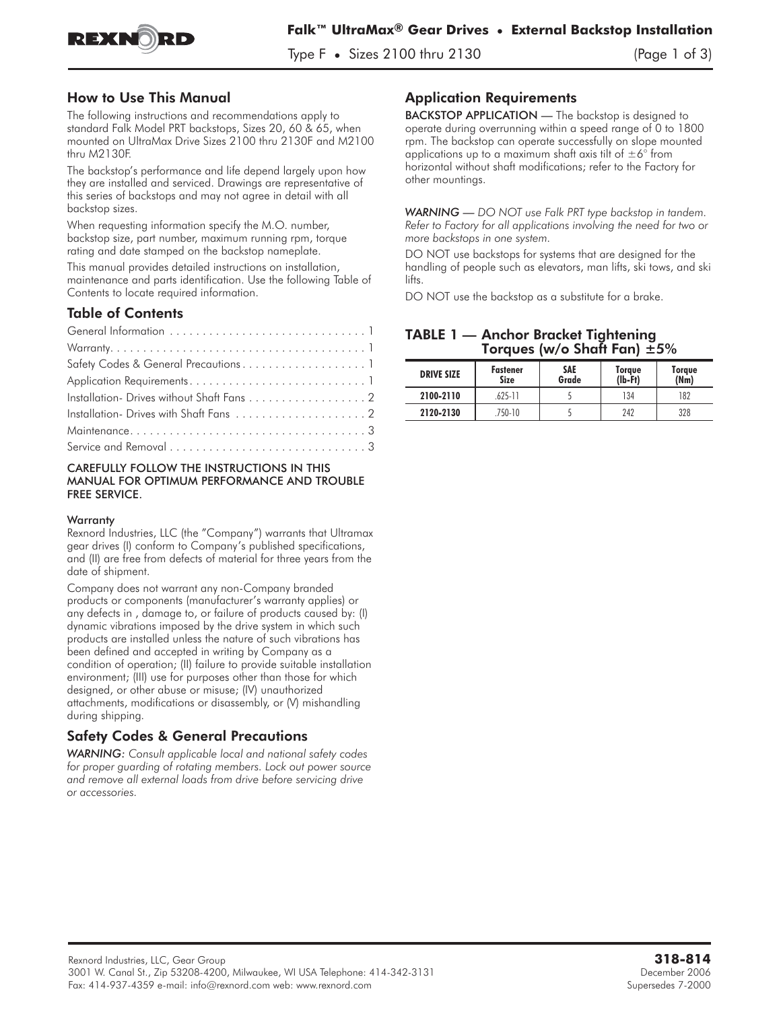

Type F **•** Sizes 2100 thru 2130 (Page 1 of 3)

### How to Use This Manual

The following instructions and recommendations apply to standard **Falk Model PRT backstops, Sizes 20, 60 & 65, when mounted on UltraMax Drive Sizes 2100 thru 2130F and M2100 thru M2130F.**

The backstop's performance and life depend largely upon how they are installed and serviced. Drawings are representative of this series of backstops and may not agree in detail with all backstop sizes.

When requesting information specify the M.O. number, backstop size, part number, maximum running rpm, torque rating and date stamped on the backstop nameplate.

This manual provides detailed instructions on installation, maintenance and parts identification. Use the following Table of Contents to locate required information.

### Table of Contents

| Installation- Drives without Shaft Fans 2 |
|-------------------------------------------|
|                                           |
|                                           |
|                                           |

#### CAREFULLY FOLLOW THE INSTRUCTIONS IN THIS MANUAL FOR OPTIMUM PERFORMANCE AND TROUBLE FREE SERVICE.

#### **Warranty**

Rexnord Industries, LLC (the "Company") warrants that Ultramax gear drives (I) conform to Company's published specifications, and (II) are free from defects of material for three years from the date of shipment.

Company does not warrant any non-Company branded products or components (manufacturer's warranty applies) or any defects in , damage to, or failure of products caused by: (I) dynamic vibrations imposed by the drive system in which such products are installed unless the nature of such vibrations has been defined and accepted in writing by Company as a condition of operation; (II) failure to provide suitable installation environment; (III) use for purposes other than those for which designed, or other abuse or misuse; (IV) unauthorized attachments, modifications or disassembly, or (V) mishandling during shipping.

# Safety Codes & General Precautions

*WARNING: Consult applicable local and national safety codes for proper guarding of rotating members. Lock out power source and remove all external loads from drive before servicing drive or accessories.*

# Application Requirements

BACKSTOP APPLICATION - The backstop is designed to operate during overrunning within a speed range of 0 to 1800 rpm. The backstop can operate successfully on slope mounted applications up to a maximum shaft axis tilt of  $\pm 6^{\circ}$  from horizontal without shaft modifications; refer to the Factory for other mountings.

*WARNING — DO NOT use Falk PRT type backstop in tandem. Refer to Factory for all applications involving the need for two or more backstops in one system.*

DO NOT use backstops for systems that are designed for the handling of people such as elevators, man lifts, ski tows, and ski lifts.

DO NOT use the backstop as a substitute for a brake.

### TABLE 1 — Anchor Bracket Tightening Torques (w/o Shaft Fan)  $±5\%$

| <b>DRIVE SIZE</b> | <b>Fastener</b><br><b>Size</b> | <b>SAE</b><br>Grade | Torque<br>$(Ib-Ft)$ | Torque<br>(Mm) |
|-------------------|--------------------------------|---------------------|---------------------|----------------|
| 2100-2110         | $.625 - 11$                    |                     | 134                 | 182            |
| 2120-2130         | $750-10$                       |                     | 242                 | 328            |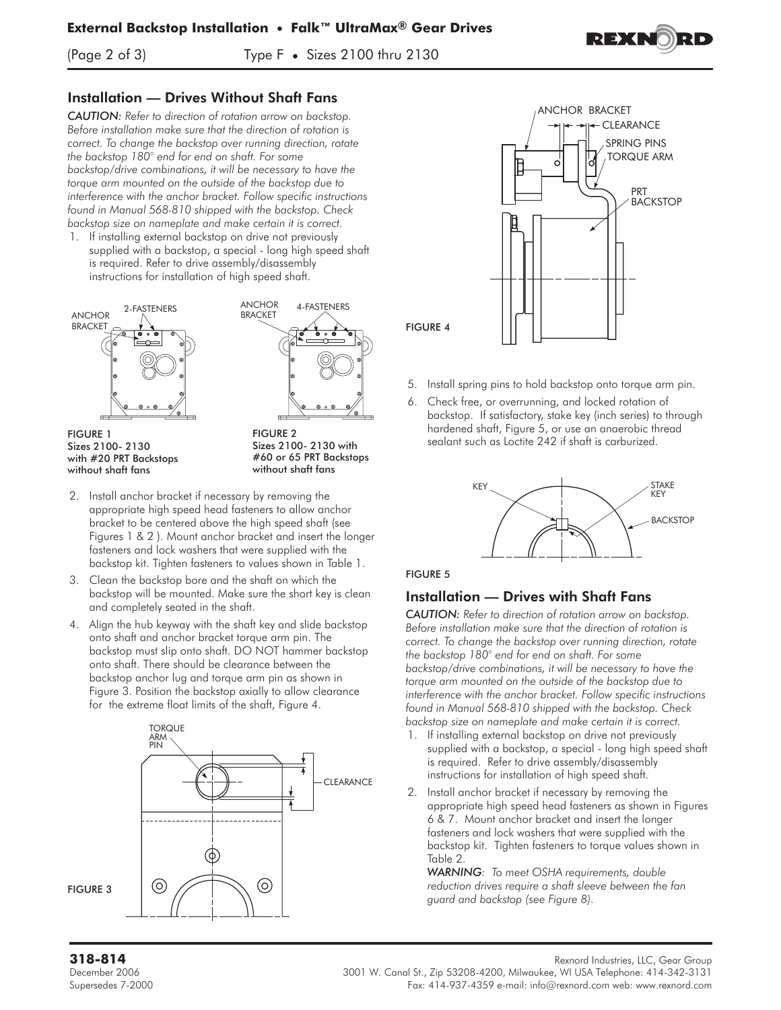(Page 2 of 3) Type F **•** Sizes 2100 thru 2130



## Installation — Drives Without Shaft Fans

*CAUTION: Refer to direction of rotation arrow on backstop. Before installation make sure that the direction of rotation is correct. To change the backstop over running direction, rotate the backstop 180° end for end on shaft. For some backstop/drive combinations, it will be necessary to have the torque arm mounted on the outside of the backstop due to interference with the anchor bracket. Follow specific instructions found in Manual 568-810 shipped with the backstop. Check backstop size on nameplate and make certain it is correct.*

1. If installing external backstop on drive not previously supplied with a backstop, a special - long high speed shaft is required. Refer to drive assembly/disassembly instructions for installation of high speed shaft.





FIGURE 1 Sizes 2100- 2130 with #20 PRT Backstops without shaft fans

FIGURE 2 Sizes 2100- 2130 with #60 or 65 PRT Backstops without shaft fans

- 2. Install anchor bracket if necessary by removing the appropriate high speed head fasteners to allow anchor bracket to be centered above the high speed shaft (see Figures 1 & 2 ). Mount anchor bracket and insert the longer fasteners and lock washers that were supplied with the backstop kit. Tighten fasteners to values shown in Table 1.
- 3. Clean the backstop bore and the shaft on which the backstop will be mounted. Make sure the short key is clean and completely seated in the shaft.
- 4. Align the hub keyway with the shaft key and slide backstop onto shaft and anchor bracket torque arm pin. The backstop must slip onto shaft. DO NOT hammer backstop onto shaft. There should be clearance between the backstop anchor lug and torque arm pin as shown in Figure 3. Position the backstop axially to allow clearance for the extreme float limits of the shaft, Figure 4.





- 5. Install spring pins to hold backstop onto torque arm pin.
- 6. Check free, or overrunning, and locked rotation of backstop. If satisfactory, stake key (inch series) to through hardened shaft, Figure 5, or use an anaerobic thread sealant such as Loctite 242 **if shaft is carburized.**



### FIGURE 5

# Installation — Drives with Shaft Fans

*CAUTION: Refer to direction of rotation arrow on backstop. Before installation make sure that the direction of rotation is correct. To change the backstop over running direction, rotate the backstop 180° end for end on shaft. For some backstop/drive combinations, it will be necessary to have the torque arm mounted on the outside of the backstop due to interference with the anchor bracket. Follow specific instructions found in Manual 568-810 shipped with the backstop. Check backstop size on nameplate and make certain it is correct.*

- 1. If installing external backstop on drive not previously supplied with a backstop, a special - long high speed shaft is required. Refer to drive assembly/disassembly instructions for installation of high speed shaft.
- 2. Install anchor bracket if necessary by removing the appropriate high speed head fasteners as shown in Figures 6 & 7. Mount anchor bracket and insert the longer fasteners and lock washers that were supplied with the backstop kit. Tighten fasteners to torque values shown in Table 2.

*WARNING: To meet OSHA requirements, double reduction drives require a shaft sleeve between the fan guard and backstop (see Figure 8).*

**318-814** Rexnord Industries, LLC, Gear Group

December 2006 3001 W. Canal St., Zip 53208-4200, Milwaukee, WI USA Telephone: 414-342-3131 Supersedes 7-2000 Fax: 414-937-4359 e-mail: info@rexnord.com web: www.rexnord.com